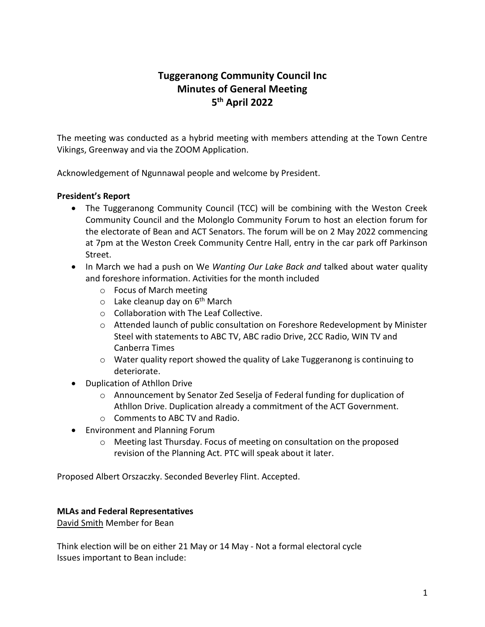# **Tuggeranong Community Council Inc Minutes of General Meeting 5 th April 2022**

The meeting was conducted as a hybrid meeting with members attending at the Town Centre Vikings, Greenway and via the ZOOM Application.

Acknowledgement of Ngunnawal people and welcome by President.

## **President's Report**

- The Tuggeranong Community Council (TCC) will be combining with the Weston Creek Community Council and the Molonglo Community Forum to host an election forum for the electorate of Bean and ACT Senators. The forum will be on 2 May 2022 commencing at 7pm at the Weston Creek Community Centre Hall, entry in the car park off Parkinson Street.
- In March we had a push on We *Wanting Our Lake Back and* talked about water quality and foreshore information. Activities for the month included
	- o Focus of March meeting
	- $\circ$  Lake cleanup day on 6<sup>th</sup> March
	- o Collaboration with The Leaf Collective.
	- $\circ$  Attended launch of public consultation on Foreshore Redevelopment by Minister Steel with statements to ABC TV, ABC radio Drive, 2CC Radio, WIN TV and Canberra Times
	- $\circ$  Water quality report showed the quality of Lake Tuggeranong is continuing to deteriorate.
- Duplication of Athllon Drive
	- o Announcement by Senator Zed Seselja of Federal funding for duplication of Athllon Drive. Duplication already a commitment of the ACT Government.
	- o Comments to ABC TV and Radio.
- Environment and Planning Forum
	- o Meeting last Thursday. Focus of meeting on consultation on the proposed revision of the Planning Act. PTC will speak about it later.

Proposed Albert Orszaczky. Seconded Beverley Flint. Accepted.

#### **MLAs and Federal Representatives**

David Smith Member for Bean

Think election will be on either 21 May or 14 May - Not a formal electoral cycle Issues important to Bean include: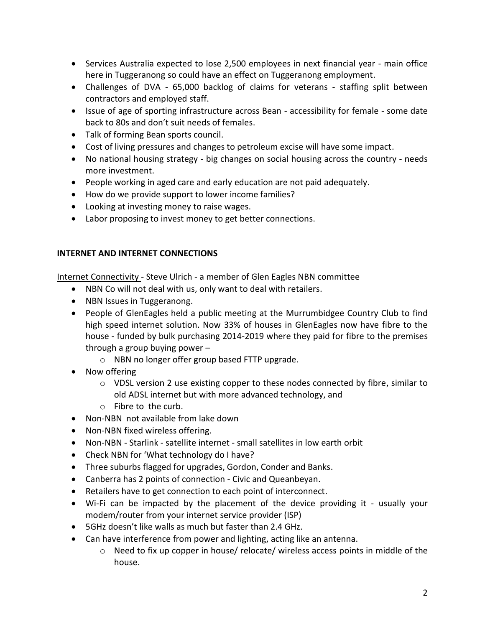- Services Australia expected to lose 2,500 employees in next financial year main office here in Tuggeranong so could have an effect on Tuggeranong employment.
- Challenges of DVA 65,000 backlog of claims for veterans staffing split between contractors and employed staff.
- Issue of age of sporting infrastructure across Bean accessibility for female some date back to 80s and don't suit needs of females.
- Talk of forming Bean sports council.
- Cost of living pressures and changes to petroleum excise will have some impact.
- No national housing strategy big changes on social housing across the country needs more investment.
- People working in aged care and early education are not paid adequately.
- How do we provide support to lower income families?
- Looking at investing money to raise wages.
- Labor proposing to invest money to get better connections.

## **INTERNET AND INTERNET CONNECTIONS**

Internet Connectivity - Steve Ulrich - a member of Glen Eagles NBN committee

- NBN Co will not deal with us, only want to deal with retailers.
- NBN Issues in Tuggeranong.
- People of GlenEagles held a public meeting at the Murrumbidgee Country Club to find high speed internet solution. Now 33% of houses in GlenEagles now have fibre to the house - funded by bulk purchasing 2014-2019 where they paid for fibre to the premises through a group buying power –
	- o NBN no longer offer group based FTTP upgrade.
- Now offering
	- o VDSL version 2 use existing copper to these nodes connected by fibre, similar to old ADSL internet but with more advanced technology, and
	- o Fibre to the curb.
- Non-NBN not available from lake down
- Non-NBN fixed wireless offering.
- Non-NBN Starlink satellite internet small satellites in low earth orbit
- Check NBN for 'What technology do I have?
- Three suburbs flagged for upgrades, Gordon, Conder and Banks.
- Canberra has 2 points of connection Civic and Queanbeyan.
- Retailers have to get connection to each point of interconnect.
- Wi-Fi can be impacted by the placement of the device providing it usually your modem/router from your internet service provider (ISP)
- 5GHz doesn't like walls as much but faster than 2.4 GHz.
- Can have interference from power and lighting, acting like an antenna.
	- o Need to fix up copper in house/ relocate/ wireless access points in middle of the house.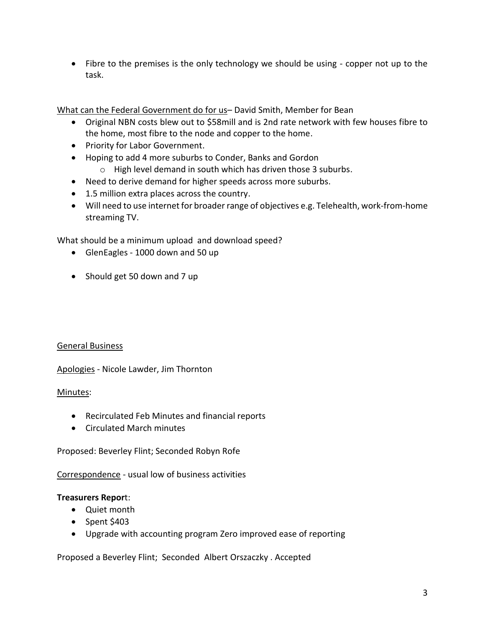• Fibre to the premises is the only technology we should be using - copper not up to the task.

What can the Federal Government do for us– David Smith, Member for Bean

- Original NBN costs blew out to \$58mill and is 2nd rate network with few houses fibre to the home, most fibre to the node and copper to the home.
- Priority for Labor Government.
- Hoping to add 4 more suburbs to Conder, Banks and Gordon
	- o High level demand in south which has driven those 3 suburbs.
- Need to derive demand for higher speeds across more suburbs.
- 1.5 million extra places across the country.
- Will need to use internet for broader range of objectives e.g. Telehealth, work-from-home streaming TV.

What should be a minimum upload and download speed?

- GlenEagles 1000 down and 50 up
- Should get 50 down and 7 up

# General Business

Apologies - Nicole Lawder, Jim Thornton

#### Minutes:

- Recirculated Feb Minutes and financial reports
- Circulated March minutes

Proposed: Beverley Flint; Seconded Robyn Rofe

Correspondence - usual low of business activities

#### **Treasurers Repor**t:

- Quiet month
- Spent \$403
- Upgrade with accounting program Zero improved ease of reporting

Proposed a Beverley Flint; Seconded Albert Orszaczky . Accepted